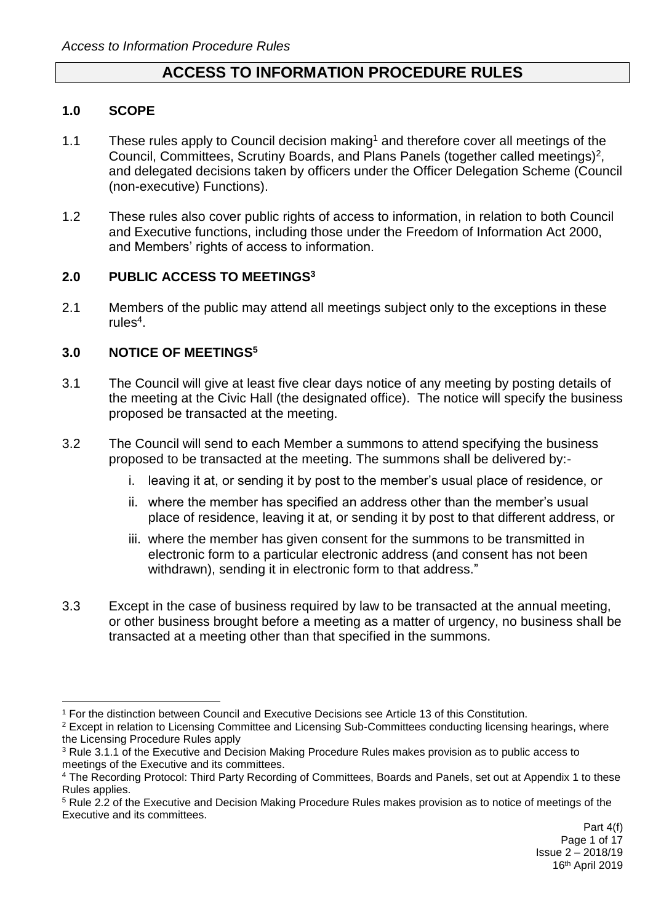# **ACCESS TO INFORMATION PROCEDURE RULES**

### **1.0 SCOPE**

1

- 1.1 These rules apply to Council decision making<sup>1</sup> and therefore cover all meetings of the Council, Committees, Scrutiny Boards, and Plans Panels (together called meetings)<sup>2</sup>, and delegated decisions taken by officers under the Officer Delegation Scheme (Council (non-executive) Functions).
- 1.2 These rules also cover public rights of access to information, in relation to both Council and Executive functions, including those under the Freedom of Information Act 2000, and Members' rights of access to information.

### **2.0 PUBLIC ACCESS TO MEETINGS<sup>3</sup>**

2.1 Members of the public may attend all meetings subject only to the exceptions in these rules<sup>4</sup>.

## **3.0 NOTICE OF MEETINGS<sup>5</sup>**

- 3.1 The Council will give at least five clear days notice of any meeting by posting details of the meeting at the Civic Hall (the designated office). The notice will specify the business proposed be transacted at the meeting.
- 3.2 The Council will send to each Member a summons to attend specifying the business proposed to be transacted at the meeting. The summons shall be delivered by:
	- i. leaving it at, or sending it by post to the member's usual place of residence, or
	- ii. where the member has specified an address other than the member's usual place of residence, leaving it at, or sending it by post to that different address, or
	- iii. where the member has given consent for the summons to be transmitted in electronic form to a particular electronic address (and consent has not been withdrawn), sending it in electronic form to that address."
- 3.3 Except in the case of business required by law to be transacted at the annual meeting, or other business brought before a meeting as a matter of urgency, no business shall be transacted at a meeting other than that specified in the summons.

<sup>1</sup> For the distinction between Council and Executive Decisions see Article 13 of this Constitution.

<sup>2</sup> Except in relation to Licensing Committee and Licensing Sub-Committees conducting licensing hearings, where the Licensing Procedure Rules apply

<sup>3</sup> Rule 3.1.1 of the Executive and Decision Making Procedure Rules makes provision as to public access to meetings of the Executive and its committees.

<sup>4</sup> The Recording Protocol: Third Party Recording of Committees, Boards and Panels, set out at Appendix 1 to these Rules applies.

<sup>5</sup> Rule 2.2 of the Executive and Decision Making Procedure Rules makes provision as to notice of meetings of the Executive and its committees.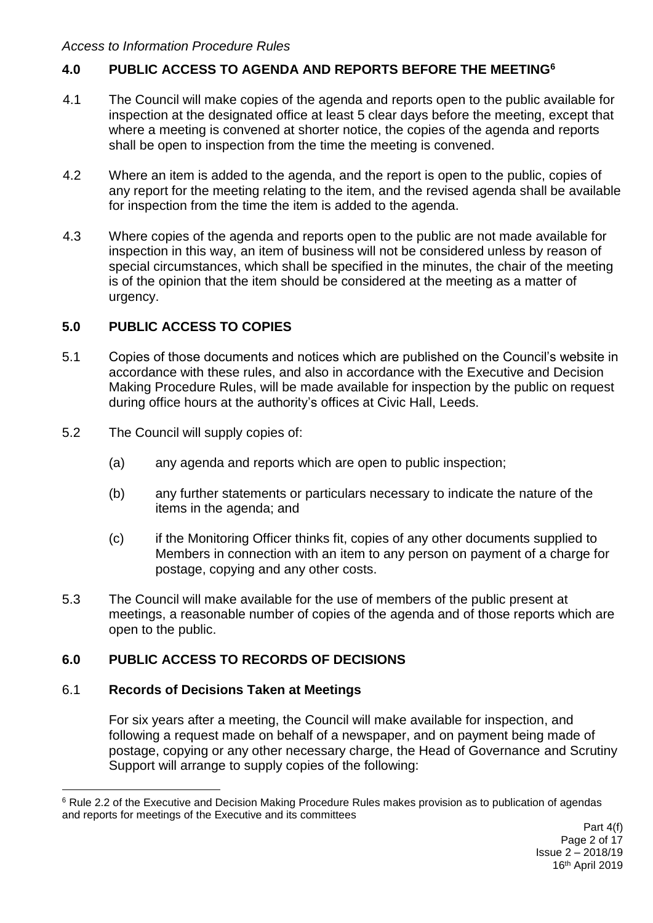# **4.0 PUBLIC ACCESS TO AGENDA AND REPORTS BEFORE THE MEETING<sup>6</sup>**

- 4.1 The Council will make copies of the agenda and reports open to the public available for inspection at the designated office at least 5 clear days before the meeting, except that where a meeting is convened at shorter notice, the copies of the agenda and reports shall be open to inspection from the time the meeting is convened.
- 4.2 Where an item is added to the agenda, and the report is open to the public, copies of any report for the meeting relating to the item, and the revised agenda shall be available for inspection from the time the item is added to the agenda.
- 4.3 Where copies of the agenda and reports open to the public are not made available for inspection in this way, an item of business will not be considered unless by reason of special circumstances, which shall be specified in the minutes, the chair of the meeting is of the opinion that the item should be considered at the meeting as a matter of urgency.

## **5.0 PUBLIC ACCESS TO COPIES**

- 5.1 Copies of those documents and notices which are published on the Council's website in accordance with these rules, and also in accordance with the Executive and Decision Making Procedure Rules, will be made available for inspection by the public on request during office hours at the authority's offices at Civic Hall, Leeds.
- 5.2 The Council will supply copies of:
	- (a) any agenda and reports which are open to public inspection;
	- (b) any further statements or particulars necessary to indicate the nature of the items in the agenda; and
	- (c) if the Monitoring Officer thinks fit, copies of any other documents supplied to Members in connection with an item to any person on payment of a charge for postage, copying and any other costs.
- 5.3 The Council will make available for the use of members of the public present at meetings, a reasonable number of copies of the agenda and of those reports which are open to the public.

# **6.0 PUBLIC ACCESS TO RECORDS OF DECISIONS**

## 6.1 **Records of Decisions Taken at Meetings**

For six years after a meeting, the Council will make available for inspection, and following a request made on behalf of a newspaper, and on payment being made of postage, copying or any other necessary charge, the Head of Governance and Scrutiny Support will arrange to supply copies of the following:

<sup>1</sup> <sup>6</sup> Rule 2.2 of the Executive and Decision Making Procedure Rules makes provision as to publication of agendas and reports for meetings of the Executive and its committees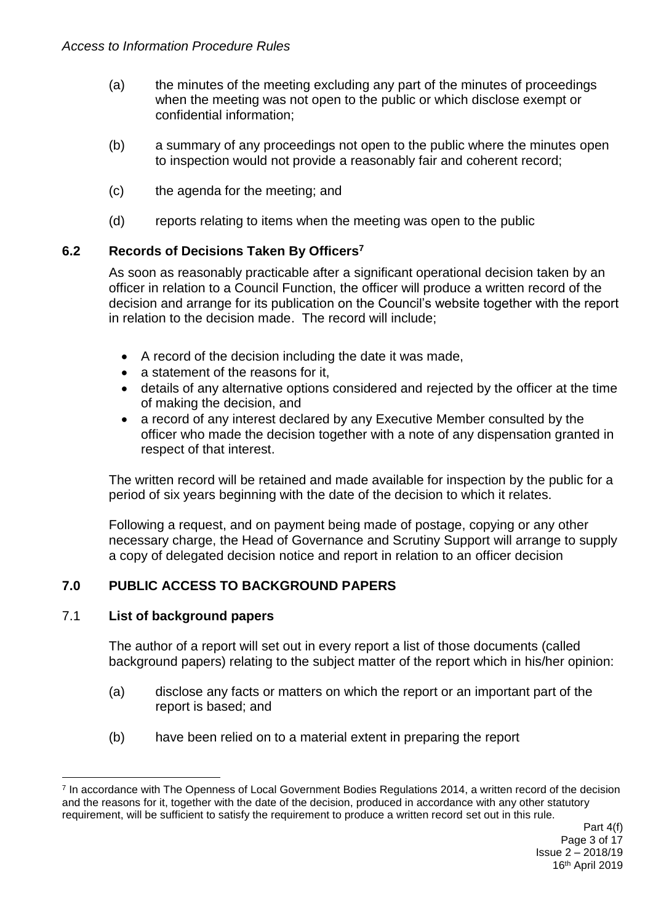- (a) the minutes of the meeting excluding any part of the minutes of proceedings when the meeting was not open to the public or which disclose exempt or confidential information;
- (b) a summary of any proceedings not open to the public where the minutes open to inspection would not provide a reasonably fair and coherent record;
- (c) the agenda for the meeting; and
- (d) reports relating to items when the meeting was open to the public

## **6.2 Records of Decisions Taken By Officers<sup>7</sup>**

As soon as reasonably practicable after a significant operational decision taken by an officer in relation to a Council Function, the officer will produce a written record of the decision and arrange for its publication on the Council's website together with the report in relation to the decision made. The record will include;

- A record of the decision including the date it was made,
- a statement of the reasons for it,
- details of any alternative options considered and rejected by the officer at the time of making the decision, and
- a record of any interest declared by any Executive Member consulted by the officer who made the decision together with a note of any dispensation granted in respect of that interest.

The written record will be retained and made available for inspection by the public for a period of six years beginning with the date of the decision to which it relates.

Following a request, and on payment being made of postage, copying or any other necessary charge, the Head of Governance and Scrutiny Support will arrange to supply a copy of delegated decision notice and report in relation to an officer decision

## **7.0 PUBLIC ACCESS TO BACKGROUND PAPERS**

#### 7.1 **List of background papers**

The author of a report will set out in every report a list of those documents (called background papers) relating to the subject matter of the report which in his/her opinion:

- (a) disclose any facts or matters on which the report or an important part of the report is based; and
- (b) have been relied on to a material extent in preparing the report

<sup>1</sup> <sup>7</sup> In accordance with The Openness of Local Government Bodies Regulations 2014, a written record of the decision and the reasons for it, together with the date of the decision, produced in accordance with any other statutory requirement, will be sufficient to satisfy the requirement to produce a written record set out in this rule.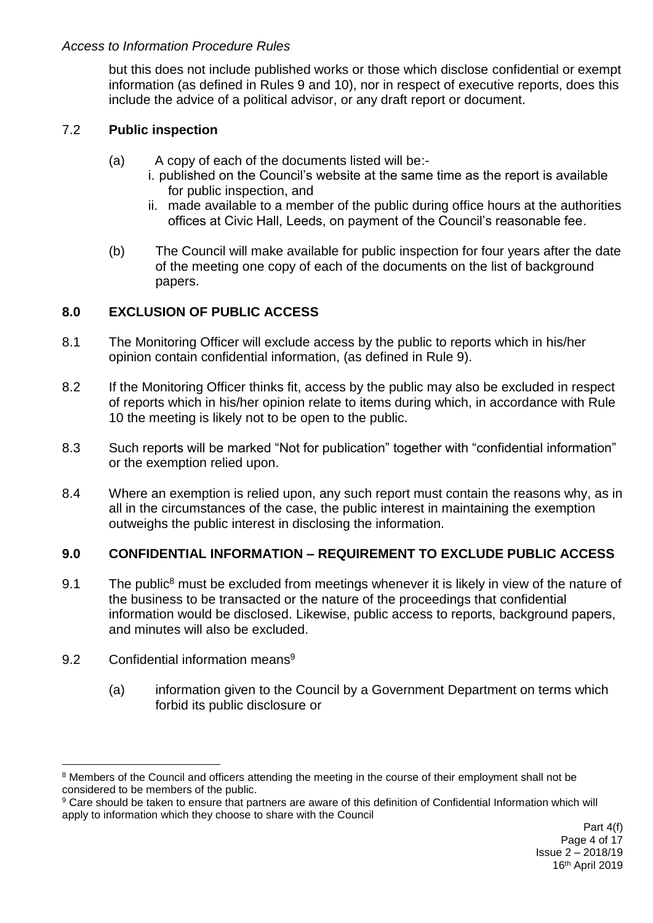but this does not include published works or those which disclose confidential or exempt information (as defined in Rules 9 and 10), nor in respect of executive reports, does this include the advice of a political advisor, or any draft report or document.

# 7.2 **Public inspection**

- (a) A copy of each of the documents listed will be:
	- i. published on the Council's website at the same time as the report is available for public inspection, and
	- ii. made available to a member of the public during office hours at the authorities offices at Civic Hall, Leeds, on payment of the Council's reasonable fee.
- (b) The Council will make available for public inspection for four years after the date of the meeting one copy of each of the documents on the list of background papers.

# **8.0 EXCLUSION OF PUBLIC ACCESS**

- 8.1 The Monitoring Officer will exclude access by the public to reports which in his/her opinion contain confidential information, (as defined in Rule 9).
- 8.2 If the Monitoring Officer thinks fit, access by the public may also be excluded in respect of reports which in his/her opinion relate to items during which, in accordance with Rule 10 the meeting is likely not to be open to the public.
- 8.3 Such reports will be marked "Not for publication" together with "confidential information" or the exemption relied upon.
- 8.4 Where an exemption is relied upon, any such report must contain the reasons why, as in all in the circumstances of the case, the public interest in maintaining the exemption outweighs the public interest in disclosing the information.

## **9.0 CONFIDENTIAL INFORMATION – REQUIREMENT TO EXCLUDE PUBLIC ACCESS**

- 9.1 The public<sup>8</sup> must be excluded from meetings whenever it is likely in view of the nature of the business to be transacted or the nature of the proceedings that confidential information would be disclosed. Likewise, public access to reports, background papers, and minutes will also be excluded.
- 9.2 Confidential information means<sup>9</sup>

1

(a) information given to the Council by a Government Department on terms which forbid its public disclosure or

<sup>&</sup>lt;sup>8</sup> Members of the Council and officers attending the meeting in the course of their employment shall not be considered to be members of the public.

<sup>9</sup> Care should be taken to ensure that partners are aware of this definition of Confidential Information which will apply to information which they choose to share with the Council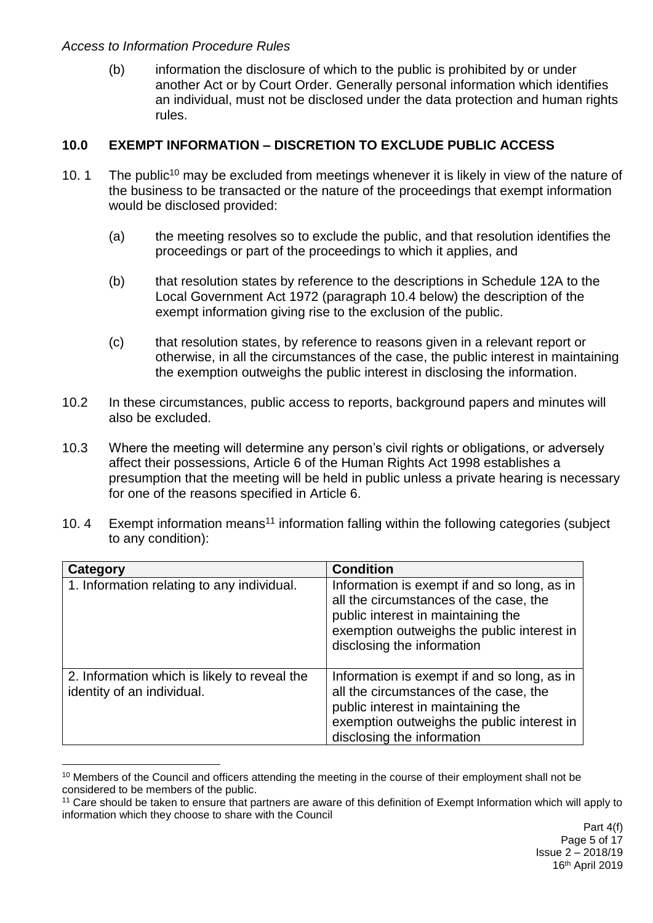1

(b) information the disclosure of which to the public is prohibited by or under another Act or by Court Order. Generally personal information which identifies an individual, must not be disclosed under the data protection and human rights rules.

### **10.0 EXEMPT INFORMATION – DISCRETION TO EXCLUDE PUBLIC ACCESS**

- 10. 1 The public<sup>10</sup> may be excluded from meetings whenever it is likely in view of the nature of the business to be transacted or the nature of the proceedings that exempt information would be disclosed provided:
	- (a) the meeting resolves so to exclude the public, and that resolution identifies the proceedings or part of the proceedings to which it applies, and
	- (b) that resolution states by reference to the descriptions in Schedule 12A to the Local Government Act 1972 (paragraph 10.4 below) the description of the exempt information giving rise to the exclusion of the public.
	- (c) that resolution states, by reference to reasons given in a relevant report or otherwise, in all the circumstances of the case, the public interest in maintaining the exemption outweighs the public interest in disclosing the information.
- 10.2 In these circumstances, public access to reports, background papers and minutes will also be excluded.
- 10.3 Where the meeting will determine any person's civil rights or obligations, or adversely affect their possessions, Article 6 of the Human Rights Act 1998 establishes a presumption that the meeting will be held in public unless a private hearing is necessary for one of the reasons specified in Article 6.
- 10. 4 Exempt information means<sup>11</sup> information falling within the following categories (subject to any condition):

| Category                                                                   | <b>Condition</b>                                                                                                                                                                                        |
|----------------------------------------------------------------------------|---------------------------------------------------------------------------------------------------------------------------------------------------------------------------------------------------------|
| 1. Information relating to any individual.                                 | Information is exempt if and so long, as in<br>all the circumstances of the case, the<br>public interest in maintaining the<br>exemption outweighs the public interest in<br>disclosing the information |
| 2. Information which is likely to reveal the<br>identity of an individual. | Information is exempt if and so long, as in<br>all the circumstances of the case, the<br>public interest in maintaining the<br>exemption outweighs the public interest in<br>disclosing the information |

<sup>&</sup>lt;sup>10</sup> Members of the Council and officers attending the meeting in the course of their employment shall not be considered to be members of the public.

<sup>11</sup> Care should be taken to ensure that partners are aware of this definition of Exempt Information which will apply to information which they choose to share with the Council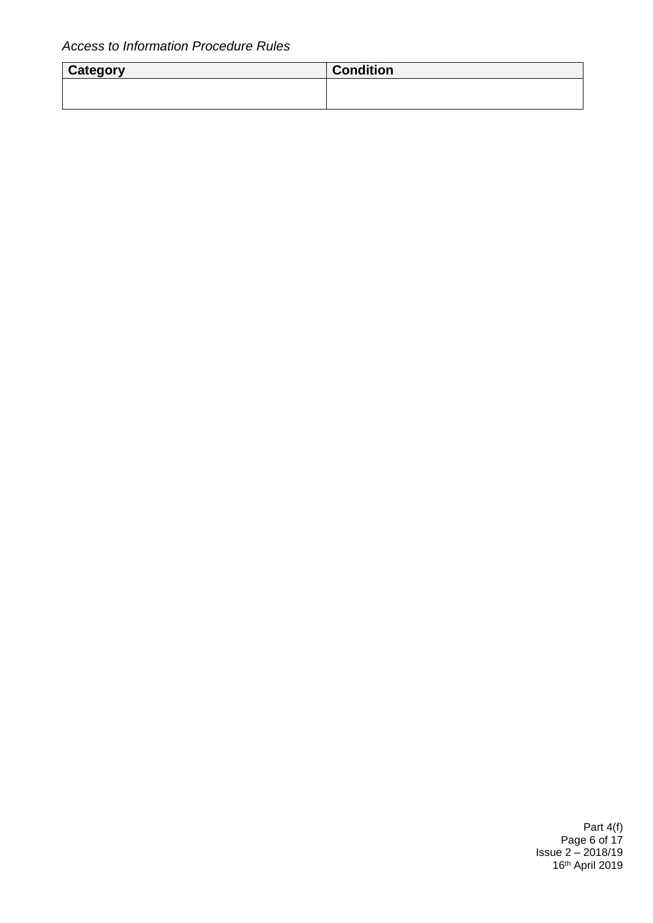| Category | <b>Condition</b> |
|----------|------------------|
|          |                  |
|          |                  |

Part 4(f) Page 6 of 17 Issue 2 – 2018/19 16th April 2019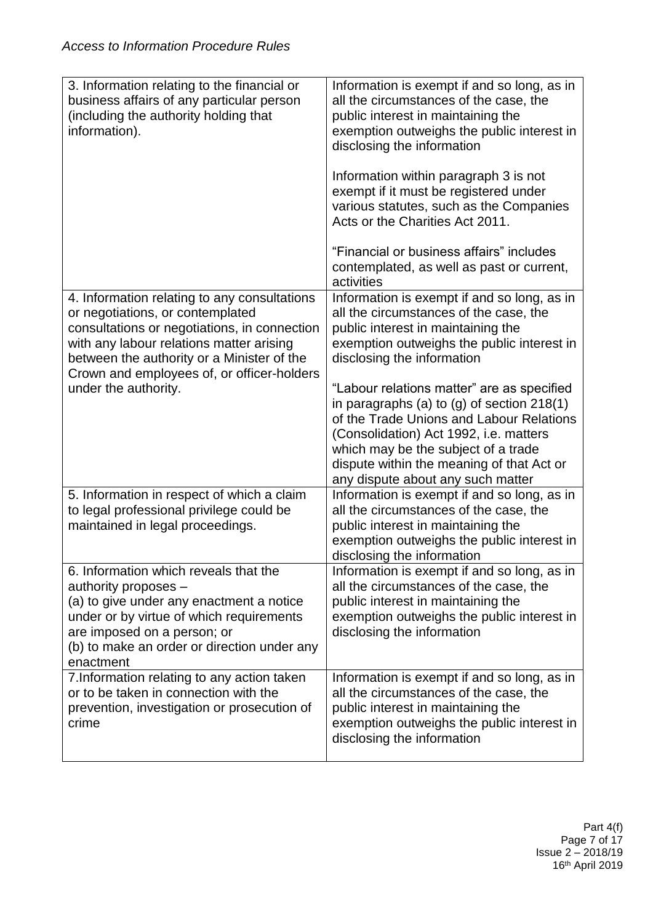| 3. Information relating to the financial or<br>business affairs of any particular person<br>(including the authority holding that<br>information).                                                                                                                       | Information is exempt if and so long, as in<br>all the circumstances of the case, the<br>public interest in maintaining the<br>exemption outweighs the public interest in<br>disclosing the information                                                                                                   |
|--------------------------------------------------------------------------------------------------------------------------------------------------------------------------------------------------------------------------------------------------------------------------|-----------------------------------------------------------------------------------------------------------------------------------------------------------------------------------------------------------------------------------------------------------------------------------------------------------|
|                                                                                                                                                                                                                                                                          | Information within paragraph 3 is not<br>exempt if it must be registered under<br>various statutes, such as the Companies<br>Acts or the Charities Act 2011.                                                                                                                                              |
|                                                                                                                                                                                                                                                                          | "Financial or business affairs" includes<br>contemplated, as well as past or current,<br>activities                                                                                                                                                                                                       |
| 4. Information relating to any consultations<br>or negotiations, or contemplated<br>consultations or negotiations, in connection<br>with any labour relations matter arising<br>between the authority or a Minister of the<br>Crown and employees of, or officer-holders | Information is exempt if and so long, as in<br>all the circumstances of the case, the<br>public interest in maintaining the<br>exemption outweighs the public interest in<br>disclosing the information                                                                                                   |
| under the authority.                                                                                                                                                                                                                                                     | "Labour relations matter" are as specified<br>in paragraphs (a) to (g) of section $218(1)$<br>of the Trade Unions and Labour Relations<br>(Consolidation) Act 1992, i.e. matters<br>which may be the subject of a trade<br>dispute within the meaning of that Act or<br>any dispute about any such matter |
| 5. Information in respect of which a claim<br>to legal professional privilege could be<br>maintained in legal proceedings.                                                                                                                                               | Information is exempt if and so long, as in<br>all the circumstances of the case, the<br>public interest in maintaining the<br>exemption outweighs the public interest in<br>disclosing the information                                                                                                   |
| 6. Information which reveals that the<br>authority proposes -<br>(a) to give under any enactment a notice<br>under or by virtue of which requirements<br>are imposed on a person; or<br>(b) to make an order or direction under any<br>enactment                         | Information is exempt if and so long, as in<br>all the circumstances of the case, the<br>public interest in maintaining the<br>exemption outweighs the public interest in<br>disclosing the information                                                                                                   |
| 7. Information relating to any action taken<br>or to be taken in connection with the<br>prevention, investigation or prosecution of<br>crime                                                                                                                             | Information is exempt if and so long, as in<br>all the circumstances of the case, the<br>public interest in maintaining the<br>exemption outweighs the public interest in<br>disclosing the information                                                                                                   |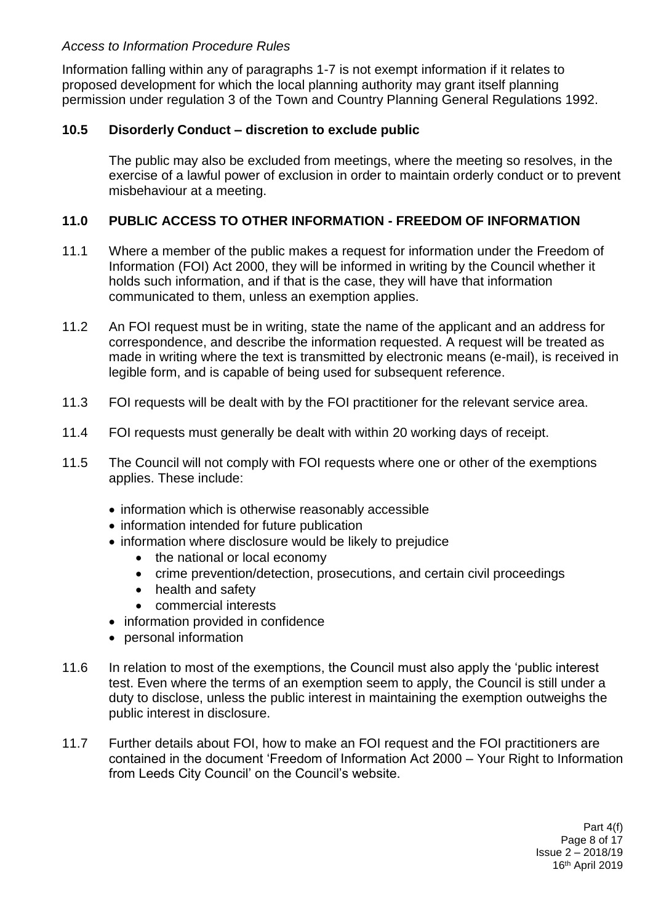Information falling within any of paragraphs 1-7 is not exempt information if it relates to proposed development for which the local planning authority may grant itself planning permission under regulation 3 of the Town and Country Planning General Regulations 1992.

### **10.5 Disorderly Conduct – discretion to exclude public**

The public may also be excluded from meetings, where the meeting so resolves, in the exercise of a lawful power of exclusion in order to maintain orderly conduct or to prevent misbehaviour at a meeting.

## **11.0 PUBLIC ACCESS TO OTHER INFORMATION - FREEDOM OF INFORMATION**

- 11.1 Where a member of the public makes a request for information under the Freedom of Information (FOI) Act 2000, they will be informed in writing by the Council whether it holds such information, and if that is the case, they will have that information communicated to them, unless an exemption applies.
- 11.2 An FOI request must be in writing, state the name of the applicant and an address for correspondence, and describe the information requested. A request will be treated as made in writing where the text is transmitted by electronic means (e-mail), is received in legible form, and is capable of being used for subsequent reference.
- 11.3 FOI requests will be dealt with by the FOI practitioner for the relevant service area.
- 11.4 FOI requests must generally be dealt with within 20 working days of receipt.
- 11.5 The Council will not comply with FOI requests where one or other of the exemptions applies. These include:
	- information which is otherwise reasonably accessible
	- information intended for future publication
	- information where disclosure would be likely to prejudice
		- the national or local economy
		- crime prevention/detection, prosecutions, and certain civil proceedings
		- health and safety
		- commercial interests
	- information provided in confidence
	- personal information
- 11.6 In relation to most of the exemptions, the Council must also apply the 'public interest test. Even where the terms of an exemption seem to apply, the Council is still under a duty to disclose, unless the public interest in maintaining the exemption outweighs the public interest in disclosure.
- 11.7 Further details about FOI, how to make an FOI request and the FOI practitioners are contained in the document 'Freedom of Information Act 2000 – Your Right to Information from Leeds City Council' on the Council's website.

Part 4(f) Page 8 of 17 Issue 2 – 2018/19 16th April 2019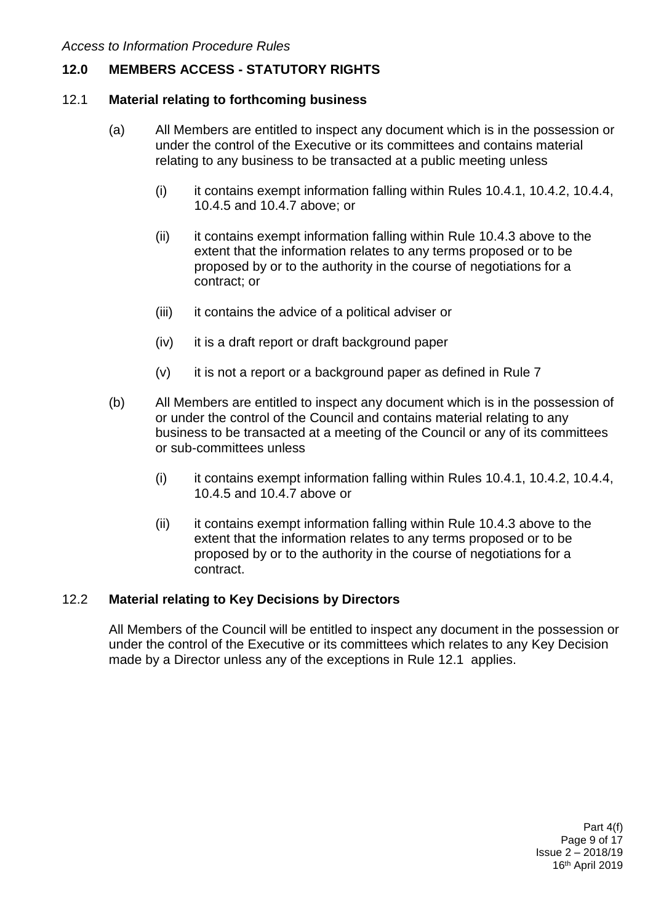# **12.0 MEMBERS ACCESS - STATUTORY RIGHTS**

#### 12.1 **Material relating to forthcoming business**

- (a) All Members are entitled to inspect any document which is in the possession or under the control of the Executive or its committees and contains material relating to any business to be transacted at a public meeting unless
	- (i) it contains exempt information falling within Rules 10.4.1, 10.4.2, 10.4.4, 10.4.5 and 10.4.7 above; or
	- (ii) it contains exempt information falling within Rule 10.4.3 above to the extent that the information relates to any terms proposed or to be proposed by or to the authority in the course of negotiations for a contract; or
	- (iii) it contains the advice of a political adviser or
	- (iv) it is a draft report or draft background paper
	- $(v)$  it is not a report or a background paper as defined in Rule 7
- (b) All Members are entitled to inspect any document which is in the possession of or under the control of the Council and contains material relating to any business to be transacted at a meeting of the Council or any of its committees or sub-committees unless
	- (i) it contains exempt information falling within Rules 10.4.1, 10.4.2, 10.4.4, 10.4.5 and 10.4.7 above or
	- (ii) it contains exempt information falling within Rule 10.4.3 above to the extent that the information relates to any terms proposed or to be proposed by or to the authority in the course of negotiations for a contract.

#### 12.2 **Material relating to Key Decisions by Directors**

All Members of the Council will be entitled to inspect any document in the possession or under the control of the Executive or its committees which relates to any Key Decision made by a Director unless any of the exceptions in Rule 12.1 applies.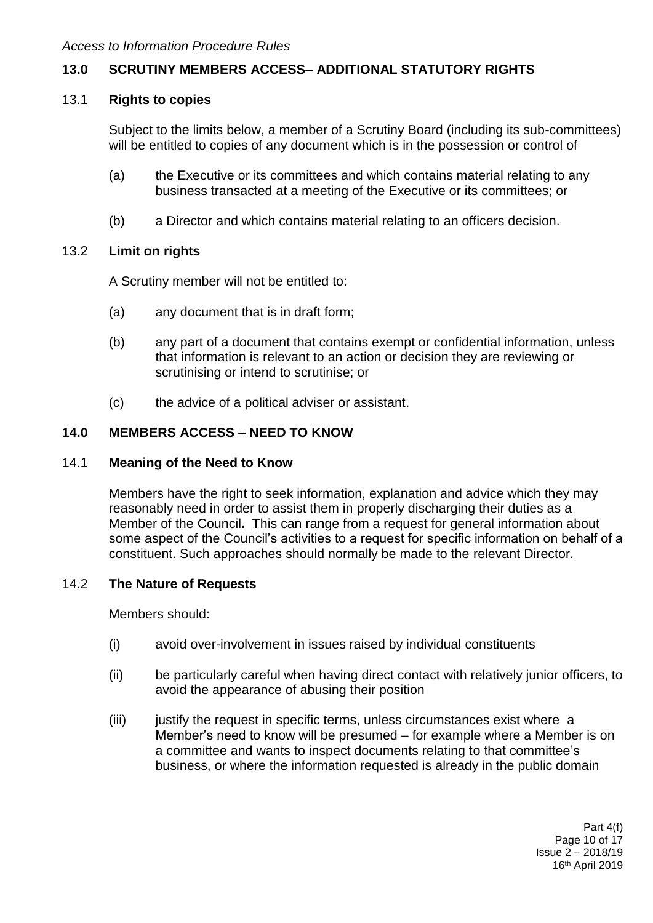# **13.0 SCRUTINY MEMBERS ACCESS– ADDITIONAL STATUTORY RIGHTS**

#### 13.1 **Rights to copies**

Subject to the limits below, a member of a Scrutiny Board (including its sub-committees) will be entitled to copies of any document which is in the possession or control of

- (a) the Executive or its committees and which contains material relating to any business transacted at a meeting of the Executive or its committees; or
- (b) a Director and which contains material relating to an officers decision.

#### 13.2 **Limit on rights**

A Scrutiny member will not be entitled to:

- (a) any document that is in draft form;
- (b) any part of a document that contains exempt or confidential information, unless that information is relevant to an action or decision they are reviewing or scrutinising or intend to scrutinise; or
- (c) the advice of a political adviser or assistant.

### **14.0 MEMBERS ACCESS – NEED TO KNOW**

#### 14.1 **Meaning of the Need to Know**

Members have the right to seek information, explanation and advice which they may reasonably need in order to assist them in properly discharging their duties as a Member of the Council**.** This can range from a request for general information about some aspect of the Council's activities to a request for specific information on behalf of a constituent. Such approaches should normally be made to the relevant Director.

#### 14.2 **The Nature of Requests**

Members should:

- (i) avoid over-involvement in issues raised by individual constituents
- (ii) be particularly careful when having direct contact with relatively junior officers, to avoid the appearance of abusing their position
- (iii) justify the request in specific terms, unless circumstances exist where a Member's need to know will be presumed – for example where a Member is on a committee and wants to inspect documents relating to that committee's business, or where the information requested is already in the public domain

Part 4(f) Page 10 of 17 Issue 2 – 2018/19 16th April 2019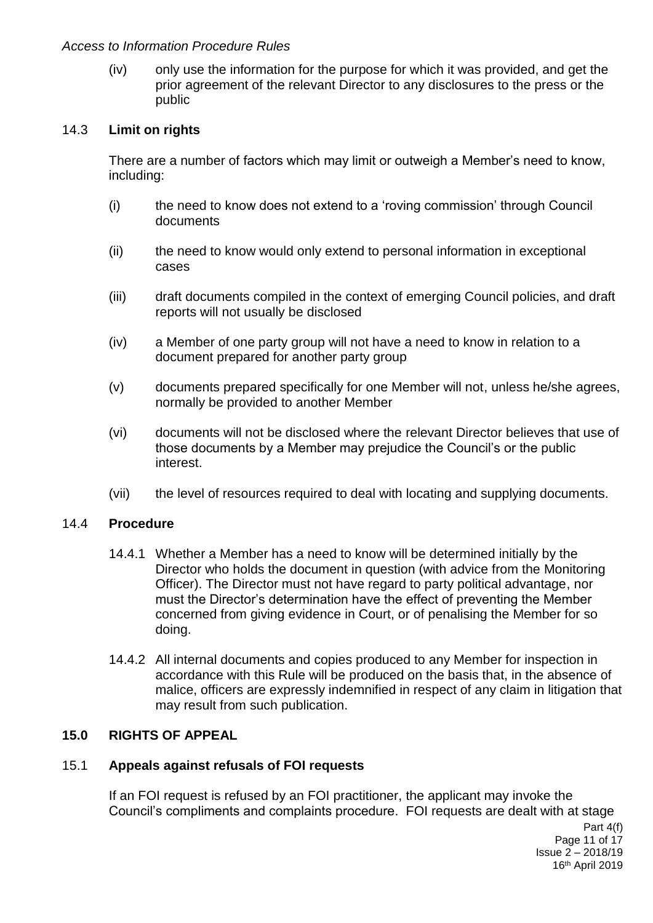(iv) only use the information for the purpose for which it was provided, and get the prior agreement of the relevant Director to any disclosures to the press or the public

#### 14.3 **Limit on rights**

There are a number of factors which may limit or outweigh a Member's need to know, including:

- (i) the need to know does not extend to a 'roving commission' through Council documents
- (ii) the need to know would only extend to personal information in exceptional cases
- (iii) draft documents compiled in the context of emerging Council policies, and draft reports will not usually be disclosed
- (iv) a Member of one party group will not have a need to know in relation to a document prepared for another party group
- (v) documents prepared specifically for one Member will not, unless he/she agrees, normally be provided to another Member
- (vi) documents will not be disclosed where the relevant Director believes that use of those documents by a Member may prejudice the Council's or the public interest.
- (vii) the level of resources required to deal with locating and supplying documents.

#### 14.4 **Procedure**

- 14.4.1 Whether a Member has a need to know will be determined initially by the Director who holds the document in question (with advice from the Monitoring Officer). The Director must not have regard to party political advantage, nor must the Director's determination have the effect of preventing the Member concerned from giving evidence in Court, or of penalising the Member for so doing.
- 14.4.2 All internal documents and copies produced to any Member for inspection in accordance with this Rule will be produced on the basis that, in the absence of malice, officers are expressly indemnified in respect of any claim in litigation that may result from such publication.

## **15.0 RIGHTS OF APPEAL**

## 15.1 **Appeals against refusals of FOI requests**

If an FOI request is refused by an FOI practitioner, the applicant may invoke the Council's compliments and complaints procedure. FOI requests are dealt with at stage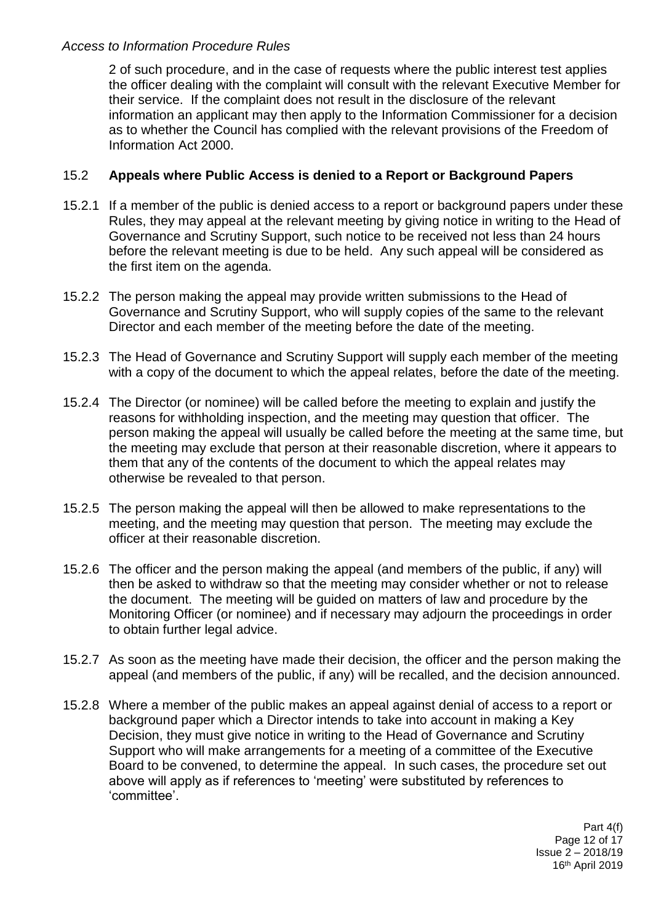2 of such procedure, and in the case of requests where the public interest test applies the officer dealing with the complaint will consult with the relevant Executive Member for their service. If the complaint does not result in the disclosure of the relevant information an applicant may then apply to the Information Commissioner for a decision as to whether the Council has complied with the relevant provisions of the Freedom of Information Act 2000.

## 15.2 **Appeals where Public Access is denied to a Report or Background Papers**

- 15.2.1 If a member of the public is denied access to a report or background papers under these Rules, they may appeal at the relevant meeting by giving notice in writing to the Head of Governance and Scrutiny Support, such notice to be received not less than 24 hours before the relevant meeting is due to be held. Any such appeal will be considered as the first item on the agenda.
- 15.2.2 The person making the appeal may provide written submissions to the Head of Governance and Scrutiny Support, who will supply copies of the same to the relevant Director and each member of the meeting before the date of the meeting.
- 15.2.3 The Head of Governance and Scrutiny Support will supply each member of the meeting with a copy of the document to which the appeal relates, before the date of the meeting.
- 15.2.4 The Director (or nominee) will be called before the meeting to explain and justify the reasons for withholding inspection, and the meeting may question that officer. The person making the appeal will usually be called before the meeting at the same time, but the meeting may exclude that person at their reasonable discretion, where it appears to them that any of the contents of the document to which the appeal relates may otherwise be revealed to that person.
- 15.2.5 The person making the appeal will then be allowed to make representations to the meeting, and the meeting may question that person. The meeting may exclude the officer at their reasonable discretion.
- 15.2.6 The officer and the person making the appeal (and members of the public, if any) will then be asked to withdraw so that the meeting may consider whether or not to release the document. The meeting will be guided on matters of law and procedure by the Monitoring Officer (or nominee) and if necessary may adjourn the proceedings in order to obtain further legal advice.
- 15.2.7 As soon as the meeting have made their decision, the officer and the person making the appeal (and members of the public, if any) will be recalled, and the decision announced.
- 15.2.8 Where a member of the public makes an appeal against denial of access to a report or background paper which a Director intends to take into account in making a Key Decision, they must give notice in writing to the Head of Governance and Scrutiny Support who will make arrangements for a meeting of a committee of the Executive Board to be convened, to determine the appeal. In such cases, the procedure set out above will apply as if references to 'meeting' were substituted by references to 'committee'.

Part 4(f) Page 12 of 17 Issue 2 – 2018/19 16th April 2019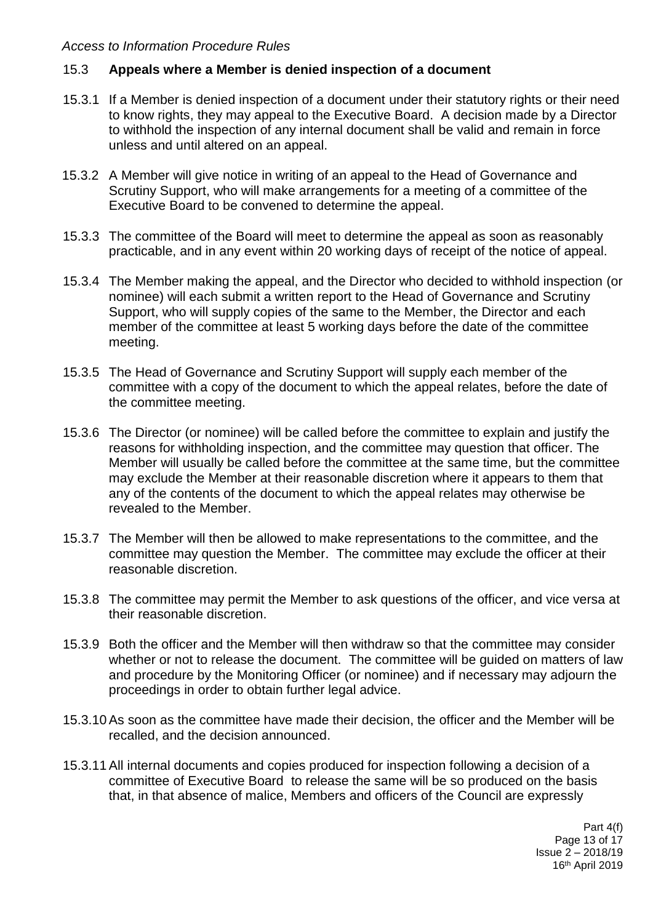### 15.3 **Appeals where a Member is denied inspection of a document**

- 15.3.1 If a Member is denied inspection of a document under their statutory rights or their need to know rights, they may appeal to the Executive Board. A decision made by a Director to withhold the inspection of any internal document shall be valid and remain in force unless and until altered on an appeal.
- 15.3.2 A Member will give notice in writing of an appeal to the Head of Governance and Scrutiny Support, who will make arrangements for a meeting of a committee of the Executive Board to be convened to determine the appeal.
- 15.3.3 The committee of the Board will meet to determine the appeal as soon as reasonably practicable, and in any event within 20 working days of receipt of the notice of appeal.
- 15.3.4 The Member making the appeal, and the Director who decided to withhold inspection (or nominee) will each submit a written report to the Head of Governance and Scrutiny Support, who will supply copies of the same to the Member, the Director and each member of the committee at least 5 working days before the date of the committee meeting.
- 15.3.5 The Head of Governance and Scrutiny Support will supply each member of the committee with a copy of the document to which the appeal relates, before the date of the committee meeting.
- 15.3.6 The Director (or nominee) will be called before the committee to explain and justify the reasons for withholding inspection, and the committee may question that officer. The Member will usually be called before the committee at the same time, but the committee may exclude the Member at their reasonable discretion where it appears to them that any of the contents of the document to which the appeal relates may otherwise be revealed to the Member.
- 15.3.7 The Member will then be allowed to make representations to the committee, and the committee may question the Member. The committee may exclude the officer at their reasonable discretion.
- 15.3.8 The committee may permit the Member to ask questions of the officer, and vice versa at their reasonable discretion.
- 15.3.9 Both the officer and the Member will then withdraw so that the committee may consider whether or not to release the document. The committee will be guided on matters of law and procedure by the Monitoring Officer (or nominee) and if necessary may adjourn the proceedings in order to obtain further legal advice.
- 15.3.10As soon as the committee have made their decision, the officer and the Member will be recalled, and the decision announced.
- 15.3.11All internal documents and copies produced for inspection following a decision of a committee of Executive Board to release the same will be so produced on the basis that, in that absence of malice, Members and officers of the Council are expressly

Part 4(f) Page 13 of 17 Issue 2 – 2018/19 16th April 2019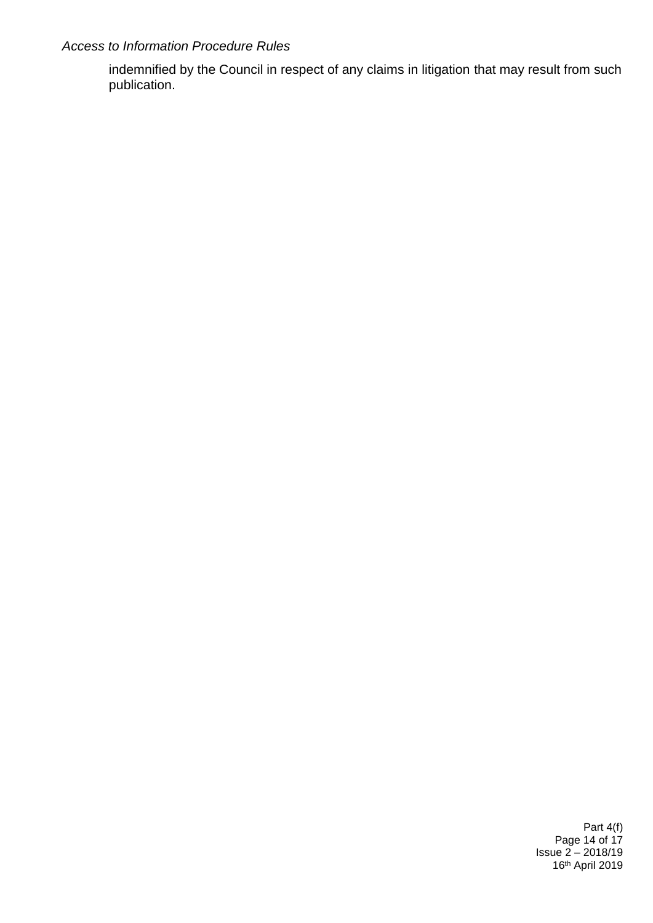indemnified by the Council in respect of any claims in litigation that may result from such publication.

> Part 4(f) Page 14 of 17 Issue 2 – 2018/19 16th April 2019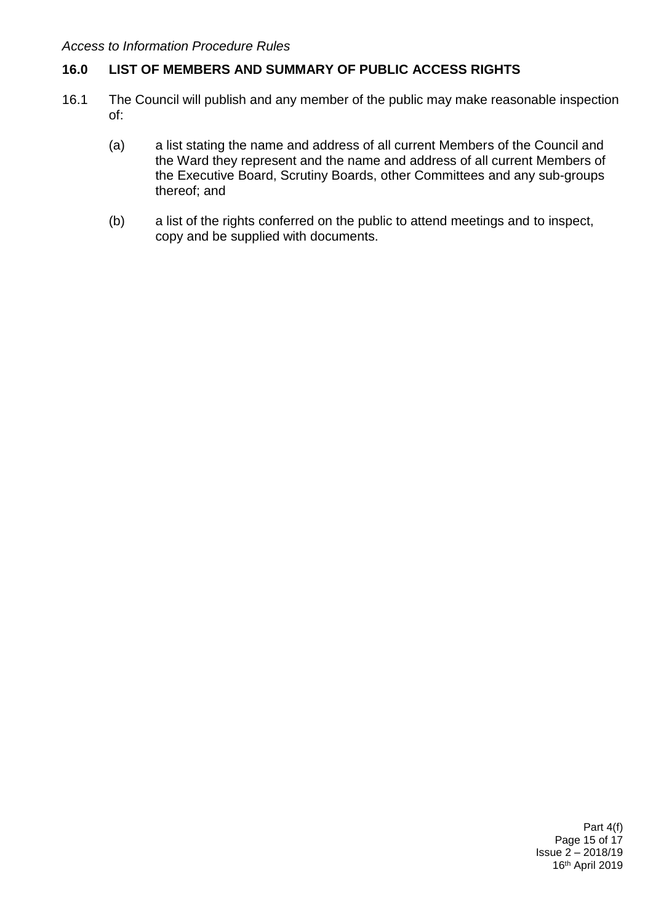# **16.0 LIST OF MEMBERS AND SUMMARY OF PUBLIC ACCESS RIGHTS**

- 16.1 The Council will publish and any member of the public may make reasonable inspection of:
	- (a) a list stating the name and address of all current Members of the Council and the Ward they represent and the name and address of all current Members of the Executive Board, Scrutiny Boards, other Committees and any sub-groups thereof; and
	- (b) a list of the rights conferred on the public to attend meetings and to inspect, copy and be supplied with documents.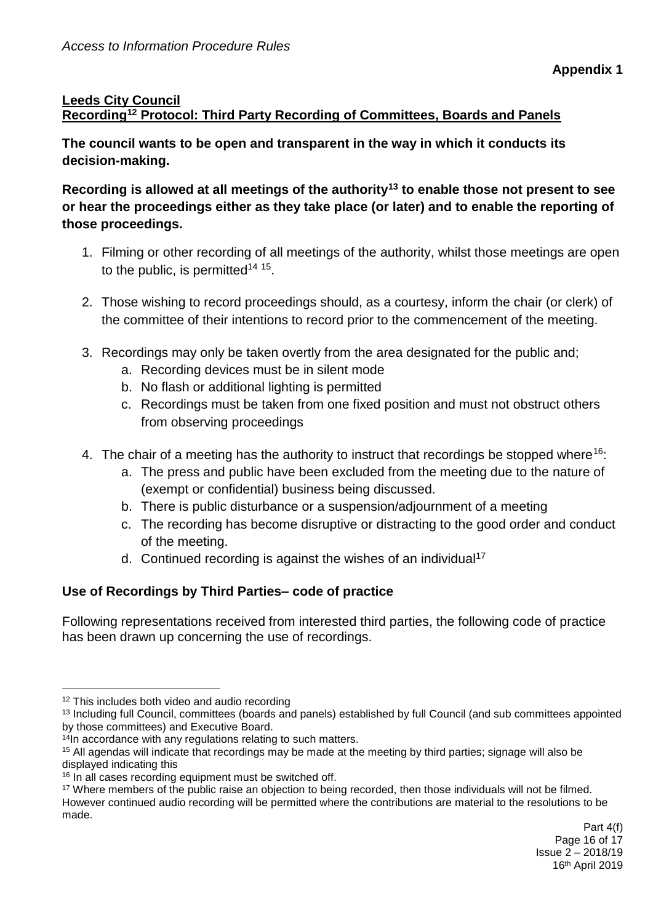# **Leeds City Council Recording<sup>12</sup> Protocol: Third Party Recording of Committees, Boards and Panels**

**The council wants to be open and transparent in the way in which it conducts its decision-making.** 

**Recording is allowed at all meetings of the authority<sup>13</sup> to enable those not present to see or hear the proceedings either as they take place (or later) and to enable the reporting of those proceedings.** 

- 1. Filming or other recording of all meetings of the authority, whilst those meetings are open to the public, is permitted<sup>14 15</sup>.
- 2. Those wishing to record proceedings should, as a courtesy, inform the chair (or clerk) of the committee of their intentions to record prior to the commencement of the meeting.
- 3. Recordings may only be taken overtly from the area designated for the public and;
	- a. Recording devices must be in silent mode
	- b. No flash or additional lighting is permitted
	- c. Recordings must be taken from one fixed position and must not obstruct others from observing proceedings
- 4. The chair of a meeting has the authority to instruct that recordings be stopped where<sup>16</sup>:
	- a. The press and public have been excluded from the meeting due to the nature of (exempt or confidential) business being discussed.
	- b. There is public disturbance or a suspension/adjournment of a meeting
	- c. The recording has become disruptive or distracting to the good order and conduct of the meeting.
	- d. Continued recording is against the wishes of an individual<sup>17</sup>

# **Use of Recordings by Third Parties– code of practice**

Following representations received from interested third parties, the following code of practice has been drawn up concerning the use of recordings.

1

<sup>&</sup>lt;sup>12</sup> This includes both video and audio recording

<sup>13</sup> Including full Council, committees (boards and panels) established by full Council (and sub committees appointed by those committees) and Executive Board.

<sup>&</sup>lt;sup>14</sup>In accordance with any regulations relating to such matters.

<sup>15</sup> All agendas will indicate that recordings may be made at the meeting by third parties; signage will also be displayed indicating this

<sup>&</sup>lt;sup>16</sup> In all cases recording equipment must be switched off.

<sup>&</sup>lt;sup>17</sup> Where members of the public raise an objection to being recorded, then those individuals will not be filmed.

However continued audio recording will be permitted where the contributions are material to the resolutions to be made.